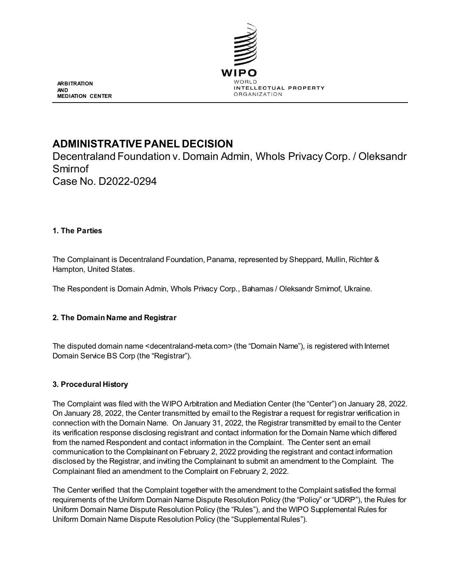

**ARBITRATION AND MEDIATION CENTER**

# **ADMINISTRATIVE PANEL DECISION**

Decentraland Foundation v. Domain Admin, WhoIs Privacy Corp. / Oleksandr Smirnof Case No. D2022-0294

### **1. The Parties**

The Complainant is Decentraland Foundation, Panama, represented by Sheppard, Mullin, Richter & Hampton, United States.

The Respondent is Domain Admin, WhoIs Privacy Corp., Bahamas / Oleksandr Smirnof, Ukraine.

# **2. The Domain Name and Registrar**

The disputed domain name <decentraland-meta.com> (the "Domain Name"), is registered with Internet Domain Service BS Corp (the "Registrar").

# **3. Procedural History**

The Complaint was filed with the WIPO Arbitration and Mediation Center (the "Center") on January 28, 2022. On January 28, 2022, the Center transmitted by email to the Registrar a request for registrar verification in connection with the Domain Name. On January 31, 2022, the Registrar transmitted by email to the Center its verification response disclosing registrant and contact information for the Domain Name which differed from the named Respondent and contact information in the Complaint. The Center sent an email communication to the Complainant on February 2, 2022 providing the registrant and contact information disclosed by the Registrar, and inviting the Complainant to submit an amendment to the Complaint. The Complainant filed an amendment to the Complaint on February 2, 2022.

The Center verified that the Complaint together with the amendment to the Complaint satisfied the formal requirements of the Uniform Domain Name Dispute Resolution Policy (the "Policy" or "UDRP"), the Rules for Uniform Domain Name Dispute Resolution Policy (the "Rules"), and the WIPO Supplemental Rules for Uniform Domain Name Dispute Resolution Policy (the "Supplemental Rules").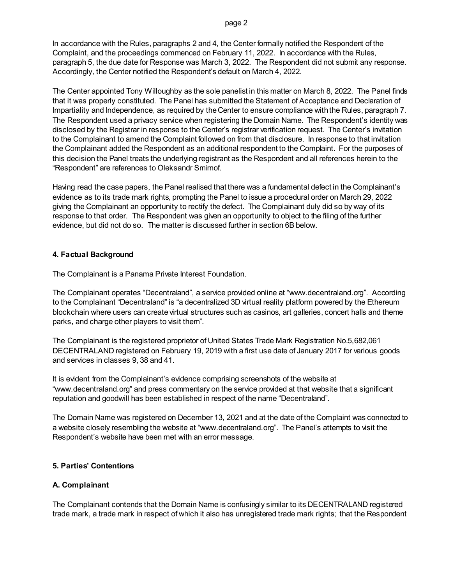In accordance with the Rules, paragraphs 2 and 4, the Center formally notified the Respondent of the Complaint, and the proceedings commenced on February 11, 2022. In accordance with the Rules, paragraph 5, the due date for Response was March 3, 2022. The Respondent did not submit any response. Accordingly, the Center notified the Respondent's default on March 4, 2022.

The Center appointed Tony Willoughby as the sole panelist in this matter on March 8, 2022. The Panel finds that it was properly constituted. The Panel has submitted the Statement of Acceptance and Declaration of Impartiality and Independence, as required by the Center to ensure compliance with the Rules, paragraph 7. The Respondent used a privacy service when registering the Domain Name. The Respondent's identity was disclosed by the Registrar in response to the Center's registrar verification request. The Center's invitation to the Complainant to amend the Complaint followed on from that disclosure. In response to that invitation the Complainant added the Respondent as an additional respondent to the Complaint. For the purposes of this decision the Panel treats the underlying registrant as the Respondent and all references herein to the "Respondent" are references to Oleksandr Smirnof.

Having read the case papers, the Panel realised that there was a fundamental defect in the Complainant's evidence as to its trade mark rights, prompting the Panel to issue a procedural order on March 29, 2022 giving the Complainant an opportunity to rectify the defect. The Complainant duly did so by way of its response to that order. The Respondent was given an opportunity to object to the filing of the further evidence, but did not do so. The matter is discussed further in section 6B below.

### **4. Factual Background**

The Complainant is a Panama Private Interest Foundation.

The Complainant operates "Decentraland", a service provided online at "www.decentraland.org". According to the Complainant "Decentraland" is "a decentralized 3D virtual reality platform powered by the Ethereum blockchain where users can create virtual structures such as casinos, art galleries, concert halls and theme parks, and charge other players to visit them".

The Complainant is the registered proprietor of United States Trade Mark Registration No.5,682,061 DECENTRALAND registered on February 19, 2019 with a first use date of January 2017 for various goods and services in classes 9, 38 and 41.

It is evident from the Complainant's evidence comprising screenshots of the website at "www.decentraland.org" and press commentary on the service provided at that website that a significant reputation and goodwill has been established in respect of the name "Decentraland".

The Domain Name was registered on December 13, 2021 and at the date of the Complaint was connected to a website closely resembling the website at "www.decentraland.org". The Panel's attempts to visit the Respondent's website have been met with an error message.

#### **5. Parties' Contentions**

# **A. Complainant**

The Complainant contends that the Domain Name is confusingly similar to its DECENTRALAND registered trade mark, a trade mark in respect of which it also has unregistered trade mark rights; that the Respondent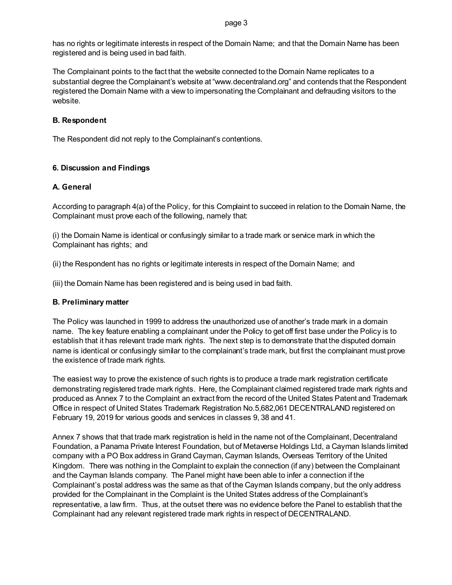page 3

has no rights or legitimate interests in respect of the Domain Name; and that the Domain Name has been registered and is being used in bad faith.

The Complainant points to the fact that the website connected to the Domain Name replicates to a substantial degree the Complainant's website at "www.decentraland.org" and contends that the Respondent registered the Domain Name with a view to impersonating the Complainant and defrauding visitors to the website.

#### **B. Respondent**

The Respondent did not reply to the Complainant's contentions.

### **6. Discussion and Findings**

### **A. General**

According to paragraph 4(a) of the Policy, for this Complaint to succeed in relation to the Domain Name, the Complainant must prove each of the following, namely that:

(i) the Domain Name is identical or confusingly similar to a trade mark or service mark in which the Complainant has rights; and

(ii) the Respondent has no rights or legitimate interests in respect of the Domain Name; and

(iii) the Domain Name has been registered and is being used in bad faith.

#### **B. Preliminary matter**

The Policy was launched in 1999 to address the unauthorized use of another's trade mark in a domain name. The key feature enabling a complainant under the Policy to get off first base under the Policy is to establish that it has relevant trade mark rights. The next step is to demonstrate that the disputed domain name is identical or confusingly similar to the complainant's trade mark, but first the complainant must prove the existence of trade mark rights.

The easiest way to prove the existence of such rights is to produce a trade mark registration certificate demonstrating registered trade mark rights. Here, the Complainant claimed registered trade mark rights and produced as Annex 7 to the Complaint an extract from the record of the United States Patent and Trademark Office in respect of United States Trademark Registration No.5,682,061 DECENTRALAND registered on February 19, 2019 for various goods and services in classes 9, 38 and 41.

Annex 7 shows that that trade mark registration is held in the name not of the Complainant, Decentraland Foundation, a Panama Private Interest Foundation, but of Metaverse Holdings Ltd, a Cayman Islands limited company with a PO Box address in Grand Cayman, Cayman Islands, Overseas Territory of the United Kingdom. There was nothing in the Complaint to explain the connection (if any) between the Complainant and the Cayman Islands company. The Panel might have been able to infer a connection if the Complainant's postal address was the same as that of the Cayman Islands company, but the only address provided for the Complainant in the Complaint is the United States address of the Complainant's representative, a law firm. Thus, at the outset there was no evidence before the Panel to establish that the Complainant had any relevant registered trade mark rights in respect of DECENTRALAND.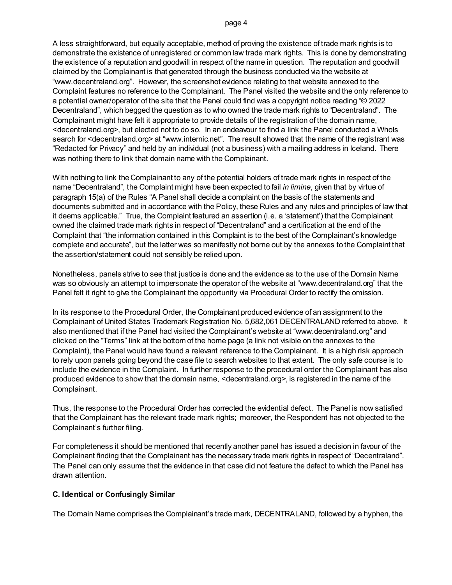A less straightforward, but equally acceptable, method of proving the existence of trade mark rights is to demonstrate the existence of unregistered or common law trade mark rights. This is done by demonstrating the existence of a reputation and goodwill in respect of the name in question. The reputation and goodwill claimed by the Complainant is that generated through the business conducted via the website at "www.decentraland.org". However, the screenshot evidence relating to that website annexed to the Complaint features no reference to the Complainant. The Panel visited the website and the only reference to a potential owner/operator of the site that the Panel could find was a copyright notice reading "© 2022 Decentraland", which begged the question as to who owned the trade mark rights to "Decentraland". The Complainant might have felt it appropriate to provide details of the registration of the domain name, <decentraland.org>, but elected not to do so. In an endeavour to find a link the Panel conducted a WhoIs search for <decentraland.org> at "www.internic.net". The result showed that the name of the registrant was "Redacted for Privacy" and held by an individual (not a business) with a mailing address in Iceland. There was nothing there to link that domain name with the Complainant.

With nothing to link the Complainant to any of the potential holders of trade mark rights in respect of the name "Decentraland", the Complaint might have been expected to fail *in limine*, given that by virtue of paragraph 15(a) of the Rules "A Panel shall decide a complaint on the basis of the statements and documents submitted and in accordance with the Policy, these Rules and any rules and principles of law that it deems applicable." True, the Complaint featured an assertion (i.e. a 'statement') that the Complainant owned the claimed trade mark rights in respect of "Decentraland" and a certification at the end of the Complaint that "the information contained in this Complaint is to the best of the Complainant's knowledge complete and accurate", but the latter was so manifestly not borne out by the annexes to the Complaint that the assertion/statement could not sensibly be relied upon.

Nonetheless, panels strive to see that justice is done and the evidence as to the use of the Domain Name was so obviously an attempt to impersonate the operator of the website at "www.decentraland.org" that the Panel felt it right to give the Complainant the opportunity via Procedural Order to rectify the omission.

In its response to the Procedural Order, the Complainant produced evidence of an assignment to the Complainant of United States Trademark Registration No. 5,682,061 DECENTRALAND referred to above. It also mentioned that if the Panel had visited the Complainant's website at "www.decentraland.org" and clicked on the "Terms" link at the bottom of the home page (a link not visible on the annexes to the Complaint), the Panel would have found a relevant reference to the Complainant. It is a high risk approach to rely upon panels going beyond the case file to search websites to that extent. The only safe course is to include the evidence in the Complaint. In further response to the procedural order the Complainant has also produced evidence to show that the domain name, <decentraland.org>, is registered in the name of the Complainant.

Thus, the response to the Procedural Order has corrected the evidential defect. The Panel is now satisfied that the Complainant has the relevant trade mark rights; moreover, the Respondent has not objected to the Complainant's further filing.

For completeness it should be mentioned that recently another panel has issued a decision in favour of the Complainant finding that the Complainant has the necessary trade mark rights in respect of "Decentraland". The Panel can only assume that the evidence in that case did not feature the defect to which the Panel has drawn attention.

# **C. Identical or Confusingly Similar**

The Domain Name comprises the Complainant's trade mark, DECENTRALAND, followed by a hyphen, the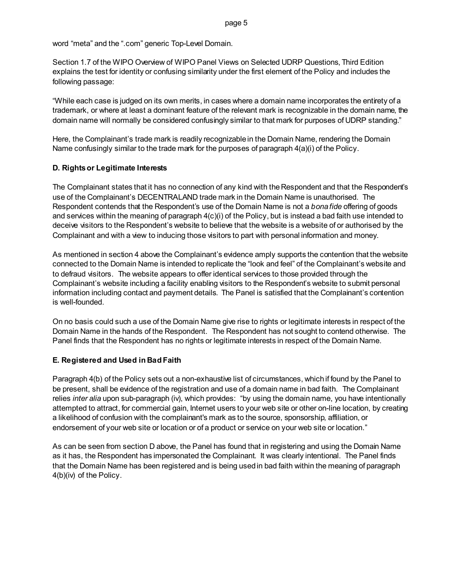#### page 5

word "meta" and the ".com" generic Top-Level Domain.

Section 1.7 of the WIPO Overview of WIPO Panel Views on Selected UDRP Questions, Third Edition explains the test for identity or confusing similarity under the first element of the Policy and includes the following passage:

"While each case is judged on its own merits, in cases where a domain name incorporates the entirety of a trademark, or where at least a dominant feature of the relevant mark is recognizable in the domain name, the domain name will normally be considered confusingly similar to that mark for purposes of UDRP standing."

Here, the Complainant's trade mark is readily recognizable in the Domain Name, rendering the Domain Name confusingly similar to the trade mark for the purposes of paragraph 4(a)(i) of the Policy.

# **D. Rights or Legitimate Interests**

The Complainant states that it has no connection of any kind with the Respondent and that the Respondent's use of the Complainant's DECENTRALAND trade mark in the Domain Name is unauthorised. The Respondent contends that the Respondent's use of the Domain Name is not a *bona fide* offering of goods and services within the meaning of paragraph 4(c)(i) of the Policy, but is instead a bad faith use intended to deceive visitors to the Respondent's website to believe that the website is a website of or authorised by the Complainant and with a view to inducing those visitors to part with personal information and money.

As mentioned in section 4 above the Complainant's evidence amply supports the contention that the website connected to the Domain Name is intended to replicate the "look and feel" of the Complainant's website and to defraud visitors. The website appears to offer identical services to those provided through the Complainant's website including a facility enabling visitors to the Respondent's website to submit personal information including contact and payment details. The Panel is satisfied that the Complainant's contention is well-founded.

On no basis could such a use of the Domain Name give rise to rights or legitimate interests in respect of the Domain Name in the hands of the Respondent. The Respondent has not sought to contend otherwise. The Panel finds that the Respondent has no rights or legitimate interests in respect of the Domain Name.

# **E. Registered and Used in Bad Faith**

Paragraph 4(b) of the Policy sets out a non-exhaustive list of circumstances, which if found by the Panel to be present, shall be evidence of the registration and use of a domain name in bad faith. The Complainant relies *inter alia* upon sub-paragraph (iv), which provides: "by using the domain name, you have intentionally attempted to attract, for commercial gain, Internet users to your web site or other on-line location, by creating a likelihood of confusion with the complainant's mark as to the source, sponsorship, affiliation, or endorsement of your web site or location or of a product or service on your web site or location."

As can be seen from section D above, the Panel has found that in registering and using the Domain Name as it has, the Respondent has impersonated the Complainant. It was clearly intentional. The Panel finds that the Domain Name has been registered and is being used in bad faith within the meaning of paragraph 4(b)(iv) of the Policy.